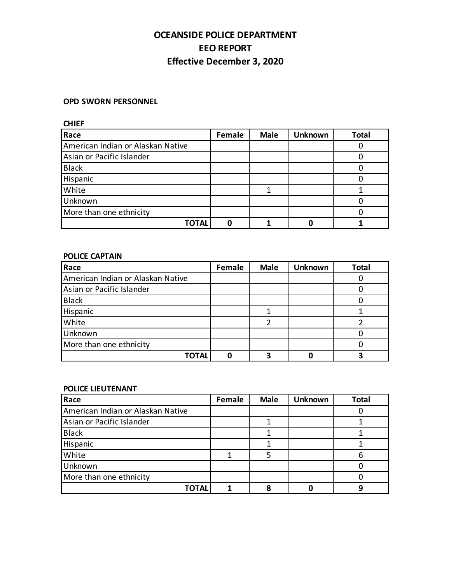# **OCEANSIDE POLICE DEPARTMENT EEO REPORT Effective December 3, 2020**

#### **OPD SWORN PERSONNEL**

**CHIEF**

| Race                              | Female | <b>Male</b> | <b>Unknown</b> | Total |
|-----------------------------------|--------|-------------|----------------|-------|
| American Indian or Alaskan Native |        |             |                |       |
| Asian or Pacific Islander         |        |             |                |       |
| <b>Black</b>                      |        |             |                |       |
| Hispanic                          |        |             |                |       |
| White                             |        |             |                |       |
| Unknown                           |        |             |                |       |
| More than one ethnicity           |        |             |                |       |
| ΓΟΤΑL                             |        |             |                |       |

### **POLICE CAPTAIN**

| Race                              | Female | <b>Male</b> | <b>Unknown</b> | <b>Total</b> |
|-----------------------------------|--------|-------------|----------------|--------------|
| American Indian or Alaskan Native |        |             |                |              |
| Asian or Pacific Islander         |        |             |                |              |
| <b>Black</b>                      |        |             |                |              |
| Hispanic                          |        |             |                |              |
| White                             |        |             |                |              |
| Unknown                           |        |             |                |              |
| More than one ethnicity           |        |             |                |              |
| ΓΟΤΑL                             |        |             |                |              |

#### **POLICE LIEUTENANT**

| Race                              | Female | <b>Male</b> | <b>Unknown</b> | <b>Total</b> |
|-----------------------------------|--------|-------------|----------------|--------------|
| American Indian or Alaskan Native |        |             |                |              |
| Asian or Pacific Islander         |        |             |                |              |
| <b>Black</b>                      |        |             |                |              |
| Hispanic                          |        |             |                |              |
| White                             |        |             |                |              |
| Unknown                           |        |             |                |              |
| More than one ethnicity           |        |             |                |              |
| TOTAL                             |        |             |                |              |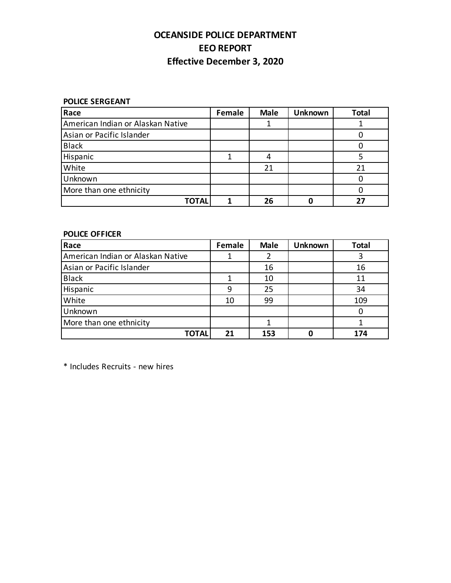# **OCEANSIDE POLICE DEPARTMENT EEO REPORT Effective December 3, 2020**

**POLICE SERGEANT**

| Race                              | Female | <b>Male</b> | <b>Unknown</b> | <b>Total</b> |
|-----------------------------------|--------|-------------|----------------|--------------|
| American Indian or Alaskan Native |        |             |                |              |
| Asian or Pacific Islander         |        |             |                |              |
| <b>Black</b>                      |        |             |                |              |
| Hispanic                          |        |             |                |              |
| White                             |        | 21          |                | 21           |
| Unknown                           |        |             |                |              |
| More than one ethnicity           |        |             |                |              |
| TOTAL                             |        | 26          |                | 27           |

### **POLICE OFFICER**

| Race                              | Female | <b>Male</b> | <b>Unknown</b> | <b>Total</b> |
|-----------------------------------|--------|-------------|----------------|--------------|
| American Indian or Alaskan Native |        |             |                |              |
| Asian or Pacific Islander         |        | 16          |                | 16           |
| <b>Black</b>                      |        | 10          |                | 11           |
| Hispanic                          | 9      | 25          |                | 34           |
| White                             | 10     | 99          |                | 109          |
| Unknown                           |        |             |                |              |
| More than one ethnicity           |        |             |                |              |
| TOTAL                             | 21     | 153         |                | 174          |

\* Includes Recruits - new hires